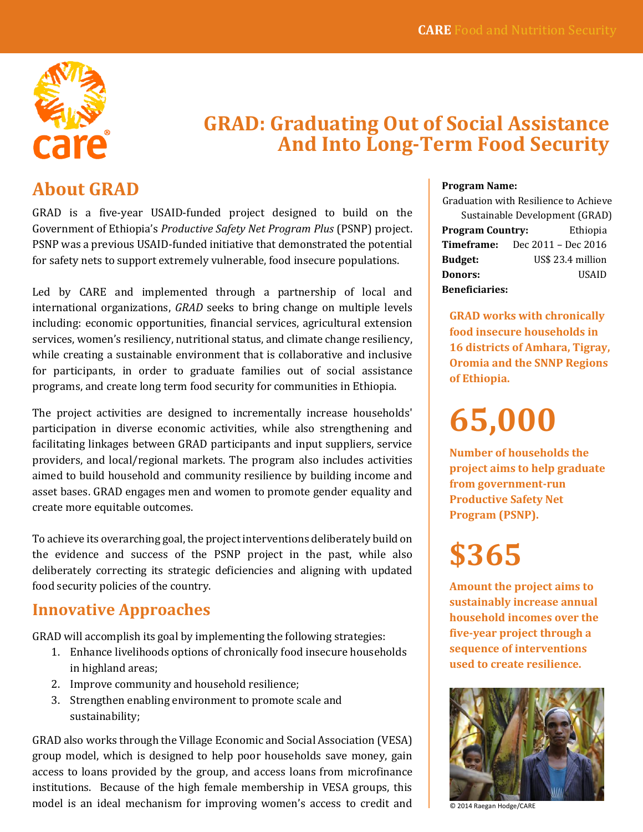

## **GRAD: Graduating Out of Social Assistance And Into Long-Term Food Security**

## **About GRAD**

GRAD is a five-year USAID-funded project designed to build on the Government of Ethiopia's *Productive Safety Net Program Plus* (PSNP) project. PSNP was a previous USAID-funded initiative that demonstrated the potential for safety nets to support extremely vulnerable, food insecure populations.

Led by CARE and implemented through a partnership of local and international organizations, *GRAD* seeks to bring change on multiple levels including: economic opportunities, financial services, agricultural extension services, women's resiliency, nutritional status, and climate change resiliency, while creating a sustainable environment that is collaborative and inclusive for participants, in order to graduate families out of social assistance programs, and create long term food security for communities in Ethiopia.

The project activities are designed to incrementally increase households' participation in diverse economic activities, while also strengthening and facilitating linkages between GRAD participants and input suppliers, service providers, and local/regional markets. The program also includes activities aimed to build household and community resilience by building income and asset bases. GRAD engages men and women to promote gender equality and create more equitable outcomes.

To achieve its overarching goal, the project interventions deliberately build on the evidence and success of the PSNP project in the past, while also deliberately correcting its strategic deficiencies and aligning with updated food security policies of the country.

### **Innovative Approaches**

GRAD will accomplish its goal by implementing the following strategies:

- 1. Enhance livelihoods options of chronically food insecure households in highland areas;
- 2. Improve community and household resilience;
- 3. Strengthen enabling environment to promote scale and sustainability;

GRAD also works through the Village Economic and Social Association (VESA) group model, which is designed to help poor households save money, gain access to loans provided by the group, and access loans from microfinance institutions. Because of the high female membership in VESA groups, this model is an ideal mechanism for improving women's access to credit and

#### **Program Name:**

Graduation with Resilience to Achieve Sustainable Development (GRAD) **Program Country:** Ethiopia **Timeframe:** Dec 2011 – Dec 2016 **Budget:** US\$ 23.4 million **Donors:** USAID **Beneficiaries:** 

**GRAD works with chronically food insecure households in 16 districts of Amhara, Tigray, Oromia and the SNNP Regions of Ethiopia.**

**65,000**

**Number of households the project aims to help graduate from government-run Productive Safety Net Program (PSNP).**

# **\$365**

**Amount the project aims to sustainably increase annual household incomes over the five-year project through a sequence of interventions used to create resilience.** 



© 2014 Raegan Hodge/CARE